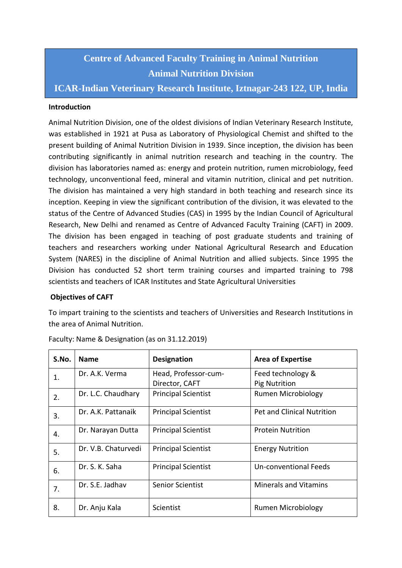# **Centre of Advanced Faculty Training in Animal Nutrition Animal Nutrition Division**

**ICAR-Indian Veterinary Research Institute, Iztnagar-243 122, UP, India**

### **Introduction**

Animal Nutrition Division, one of the oldest divisions of Indian Veterinary Research Institute, was established in 1921 at Pusa as Laboratory of Physiological Chemist and shifted to the present building of Animal Nutrition Division in 1939. Since inception, the division has been contributing significantly in animal nutrition research and teaching in the country. The division has laboratories named as: energy and protein nutrition, rumen microbiology, feed technology, unconventional feed, mineral and vitamin nutrition, clinical and pet nutrition. The division has maintained a very high standard in both teaching and research since its inception. Keeping in view the significant contribution of the division, it was elevated to the status of the Centre of Advanced Studies (CAS) in 1995 by the Indian Council of Agricultural Research, New Delhi and renamed as Centre of Advanced Faculty Training (CAFT) in 2009. The division has been engaged in teaching of post graduate students and training of teachers and researchers working under National Agricultural Research and Education System (NARES) in the discipline of Animal Nutrition and allied subjects. Since 1995 the Division has conducted 52 short term training courses and imparted training to 798 scientists and teachers of ICAR Institutes and State Agricultural Universities

### **Objectives of CAFT**

To impart training to the scientists and teachers of Universities and Research Institutions in the area of Animal Nutrition.

| S.No. | <b>Name</b>         | <b>Designation</b>         | <b>Area of Expertise</b>          |  |
|-------|---------------------|----------------------------|-----------------------------------|--|
| 1.    | Dr. A.K. Verma      | Head, Professor-cum-       | Feed technology &                 |  |
|       |                     | Director, CAFT             | <b>Pig Nutrition</b>              |  |
| 2.    | Dr. L.C. Chaudhary  | <b>Principal Scientist</b> | <b>Rumen Microbiology</b>         |  |
| 3.    | Dr. A.K. Pattanaik  | <b>Principal Scientist</b> | <b>Pet and Clinical Nutrition</b> |  |
| 4.    | Dr. Narayan Dutta   | <b>Principal Scientist</b> | <b>Protein Nutrition</b>          |  |
| 5.    | Dr. V.B. Chaturvedi | <b>Principal Scientist</b> | <b>Energy Nutrition</b>           |  |
| 6.    | Dr. S. K. Saha      | <b>Principal Scientist</b> | Un-conventional Feeds             |  |
| 7.    | Dr. S.E. Jadhav     | <b>Senior Scientist</b>    | <b>Minerals and Vitamins</b>      |  |
| 8.    | Dr. Anju Kala       | Scientist                  | <b>Rumen Microbiology</b>         |  |

Faculty: Name & Designation (as on 31.12.2019)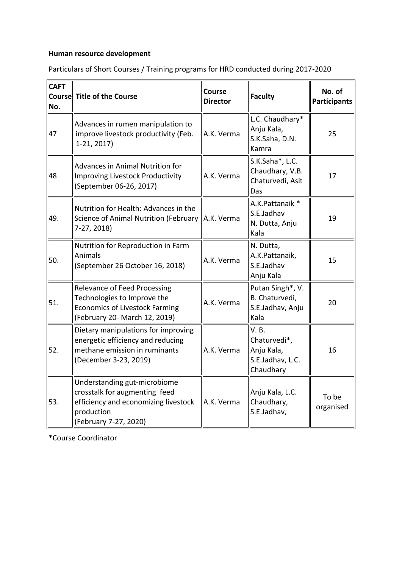## **Human resource development**

| <b>CAFT</b><br>No. | Course Title of the Course                                                                                                                   | <b>Course</b><br><b>Director</b> | Faculty                                                             | No. of<br><b>Participants</b> |
|--------------------|----------------------------------------------------------------------------------------------------------------------------------------------|----------------------------------|---------------------------------------------------------------------|-------------------------------|
| 47                 | Advances in rumen manipulation to<br>improve livestock productivity (Feb.<br>$1-21, 2017$                                                    | A.K. Verma                       | L.C. Chaudhary*<br>Anju Kala,<br>S.K.Saha, D.N.<br>Kamra            | 25                            |
| 48                 | <b>Advances in Animal Nutrition for</b><br><b>Improving Livestock Productivity</b><br>(September 06-26, 2017)                                | A.K. Verma                       | S.K.Saha*, L.C.<br>Chaudhary, V.B.<br>Chaturvedi, Asit<br>Das       | 17                            |
| 49.                | Nutrition for Health: Advances in the<br>Science of Animal Nutrition (February   A.K. Verma<br>7-27, 2018)                                   |                                  | A.K.Pattanaik *<br>S.E.Jadhav<br>N. Dutta, Anju<br>Kala             | 19                            |
| 50.                | Nutrition for Reproduction in Farm<br><b>Animals</b><br>(September 26 October 16, 2018)                                                      | A.K. Verma                       | N. Dutta,<br>A.K.Pattanaik,<br>S.E.Jadhav<br>Anju Kala              | 15                            |
| 51.                | Relevance of Feed Processing<br>Technologies to Improve the<br><b>Economics of Livestock Farming</b><br>(February 20- March 12, 2019)        | A.K. Verma                       | Putan Singh*, V.<br>B. Chaturvedi,<br>S.E.Jadhav, Anju<br>Kala      | 20                            |
| 52.                | Dietary manipulations for improving<br>energetic efficiency and reducing<br>methane emission in ruminants<br>(December 3-23, 2019)           | A.K. Verma                       | V.B.<br>Chaturvedi*,<br>Anju Kala,<br>S.E.Jadhav, L.C.<br>Chaudhary | 16                            |
| 53.                | Understanding gut-microbiome<br>crosstalk for augmenting feed<br>efficiency and economizing livestock<br>production<br>(February 7-27, 2020) | A.K. Verma                       | Anju Kala, L.C.<br>Chaudhary,<br>S.E.Jadhav,                        | To be<br>organised            |

Particulars of Short Courses / Training programs for HRD conducted during 2017-2020

\*Course Coordinator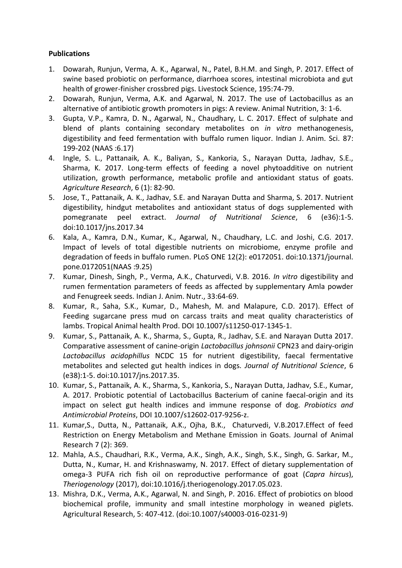### **Publications**

- 1. Dowarah, Runjun, Verma, A. K., Agarwal, N., Patel, B.H.M. and Singh, P. 2017. Effect of swine based probiotic on performance, diarrhoea scores, intestinal microbiota and gut health of grower-finisher crossbred pigs. Livestock Science, 195:74-79.
- 2. Dowarah, Runjun, Verma, A.K. and Agarwal, N. 2017. The use of Lactobacillus as an alternative of antibiotic growth promoters in pigs: A review. Animal Nutrition, 3: 1-6.
- 3. Gupta, V.P., Kamra, D. N., Agarwal, N., Chaudhary, L. C. 2017. Effect of sulphate and blend of plants containing secondary metabolites on *in vitro* methanogenesis, digestibility and feed fermentation with buffalo rumen liquor. Indian J. Anim. Sci. 87: 199-202 (NAAS :6.17)
- 4. Ingle, S. L., Pattanaik, A. K., Baliyan, S., Kankoria, S., Narayan Dutta, Jadhav, S.E., Sharma, K. 2017. Long-term effects of feeding a novel phytoadditive on nutrient utilization, growth performance, metabolic profile and antioxidant status of goats. *Agriculture Research*, 6 (1): 82-90.
- 5. Jose, T., Pattanaik, A. K., Jadhav, S.E. and Narayan Dutta and Sharma, S. 2017. Nutrient digestibility, hindgut metabolites and antioxidant status of dogs supplemented with pomegranate peel extract. *Journal of Nutritional Science*, 6 (e36):1-5. doi:10.1017/jns.2017.34
- 6. Kala, A., Kamra, D.N., Kumar, K., Agarwal, N., Chaudhary, L.C. and Joshi, C.G. 2017. Impact of levels of total digestible nutrients on microbiome, enzyme profile and degradation of feeds in buffalo rumen. PLoS ONE 12(2): e0172051. doi:10.1371/journal. pone.0172051(NAAS :9.25)
- 7. Kumar, Dinesh, Singh, P., Verma, A.K., Chaturvedi, V.B. 2016. *In vitro* digestibility and rumen fermentation parameters of feeds as affected by supplementary Amla powder and Fenugreek seeds. Indian J. Anim. Nutr., 33:64-69.
- 8. Kumar, R., Saha, S.K., Kumar, D., Mahesh, M. and Malapure, C.D. 2017). Effect of Feeding sugarcane press mud on carcass traits and meat quality characteristics of lambs. Tropical Animal health Prod. DOI 10.1007/s11250-017-1345-1.
- 9. Kumar, S., Pattanaik, A. K., Sharma, S., Gupta, R., Jadhav, S.E. and Narayan Dutta 2017. Comparative assessment of canine-origin *Lactobacillus johnsonii* CPN23 and dairy-origin *Lactobacillus acidophillus* NCDC 15 for nutrient digestibility, faecal fermentative metabolites and selected gut health indices in dogs*. Journal of Nutritional Science*, 6 (e38):1-5. doi:10.1017/jns.2017.35.
- 10. Kumar, S., Pattanaik, A. K., Sharma, S., Kankoria, S., Narayan Dutta, Jadhav, S.E., Kumar, A. 2017. Probiotic potential of Lactobacillus Bacterium of canine faecal-origin and its impact on select gut health indices and immune response of dog. *Probiotics and Antimicrobial Proteins*, DOI 10.1007/s12602-017-9256-z.
- 11. Kumar,S., Dutta, N., Pattanaik, A.K., Ojha, B.K., Chaturvedi, V.B.2017.Effect of feed Restriction on Energy Metabolism and Methane Emission in Goats. Journal of Animal Research 7 (2): 369.
- 12. Mahla, A.S., Chaudhari, R.K., Verma, A.K., Singh, A.K., Singh, S.K., Singh, G. Sarkar, M., Dutta, N., Kumar, H. and Krishnaswamy, N. 2017. Effect of dietary supplementation of omega-3 PUFA rich fish oil on reproductive performance of goat (*Capra hircus*), *Theriogenology* (2017), doi:10.1016/j.theriogenology.2017.05.023.
- 13. Mishra, D.K., Verma, A.K., Agarwal, N. and Singh, P. 2016. Effect of probiotics on blood biochemical profile, immunity and small intestine morphology in weaned piglets. Agricultural Research, 5: 407-412. (doi:10.1007/s40003-016-0231-9)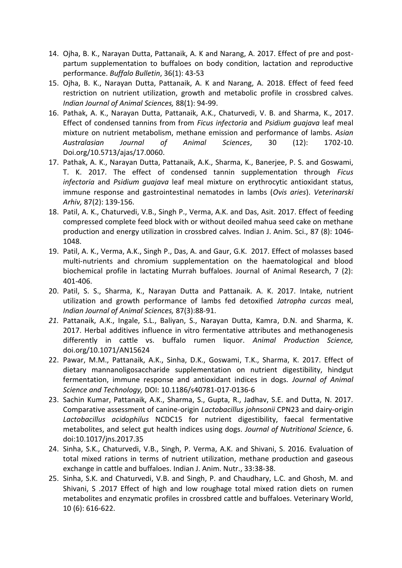- 14. Ojha, B. K., Narayan Dutta, Pattanaik, A. K and Narang, A. 2017. Effect of pre and postpartum supplementation to buffaloes on body condition, lactation and reproductive performance. *Buffalo Bulletin*, 36(1): 43-53
- 15. Ojha, B. K., Narayan Dutta, Pattanaik, A. K and Narang, A. 2018. Effect of feed feed restriction on nutrient utilization, growth and metabolic profile in crossbred calves. *Indian Journal of Animal Sciences,* 88(1): 94-99.
- 16. Pathak, A. K., Narayan Dutta, Pattanaik, A.K., Chaturvedi, V. B. and Sharma, K., 2017. Effect of condensed tannins from from *Ficus infectoria* and *Psidium guajava* leaf meal mixture on nutrient metabolism, methane emission and performance of lambs. *Asian Australasian Journal of Animal Sciences*, 30 (12): 1702-10. Doi.org/10.5713/ajas/17.0060.
- 17. Pathak, A. K., Narayan Dutta, Pattanaik, A.K., Sharma, K., Banerjee, P. S. and Goswami, T. K. 2017. The effect of condensed tannin supplementation through *Ficus infectoria* and *Psidium guajava* leaf meal mixture on erythrocytic antioxidant status, immune response and gastrointestinal nematodes in lambs (*Ovis aries*). *Veterinarski Arhiv,* 87(2): 139-156.
- 18. Patil, A. K., Chaturvedi, V.B., Singh P., Verma, A.K. and Das, Asit. 2017. Effect of feeding compressed complete feed block with or without deoiled mahua seed cake on methane production and energy utilization in crossbred calves. Indian J. Anim. Sci., 87 (8): 1046- 1048.
- 19. Patil, A. K., Verma, A.K., Singh P., Das, A. and Gaur, G.K. 2017. Effect of molasses based multi-nutrients and chromium supplementation on the haematological and blood biochemical profile in lactating Murrah buffaloes. Journal of Animal Research, 7 (2): 401-406.
- 20. Patil, S. S., Sharma, K., Narayan Dutta and Pattanaik. A. K. 2017. Intake, nutrient utilization and growth performance of lambs fed detoxified *Jatropha curcas* meal, *Indian Journal of Animal Sciences,* 87(3):88-91.
- *21.* Pattanaik, A.K., Ingale, S.L., Baliyan, S., Narayan Dutta, Kamra, D.N. and Sharma, K. 2017. Herbal additives influence in vitro fermentative attributes and methanogenesis differently in cattle vs. buffalo rumen liquor. *Animal Production Science,* doi.org/10.1071/AN15624
- 22. Pawar, M.M., Pattanaik, A.K., Sinha, D.K., Goswami, T.K., Sharma, K. 2017. Effect of dietary mannanoligosaccharide supplementation on nutrient digestibility, hindgut fermentation, immune response and antioxidant indices in dogs. *Journal of Animal Science and Technology,* DOI: 10.1186/s40781-017-0136-6
- 23. Sachin Kumar, Pattanaik, A.K., Sharma, S., Gupta, R., Jadhav, S.E. and Dutta, N. 2017. Comparative assessment of canine-origin *Lactobacillus johnsonii* CPN23 and dairy-origin *Lactobacillus acidophilus* NCDC15 for nutrient digestibility, faecal fermentative metabolites, and select gut health indices using dogs. *Journal of Nutritional Science*, 6. doi:10.1017/jns.2017.35
- 24. Sinha, S.K., Chaturvedi, V.B., Singh, P. Verma, A.K. and Shivani, S. 2016. Evaluation of total mixed rations in terms of nutrient utilization, methane production and gaseous exchange in cattle and buffaloes. Indian J. Anim. Nutr., 33:38-38.
- 25. Sinha, S.K. and Chaturvedi, V.B. and Singh, P. and Chaudhary, L.C. and Ghosh, M. and Shivani, S .2017 Effect of high and low roughage total mixed ration diets on rumen metabolites and enzymatic profiles in crossbred cattle and buffaloes. Veterinary World, 10 (6): 616-622.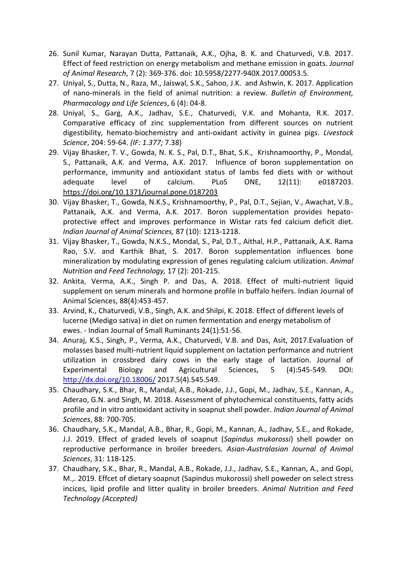- 26. Sunil Kumar, Narayan Dutta, Pattanaik, A.K., Ojha, B. K. and Chaturvedi, V.B. 2017. Effect of feed restriction on energy metabolism and methane emission in goats. *Journal of Animal Research*, 7 (2): 369-376. doi: 10.5958/2277-940X.2017.00053.5.
- 27. Uniyal, S., Dutta, N., Raza, M., Jaiswal, S.K., Sahoo, J.K. and Ashwin, K. 2017. Application of nano-minerals in the field of animal nutrition: a review. *Bulletin of Environment, Pharmacology and Life Sciences*, 6 (4): 04-8.
- 28. Uniyal, S., Garg, A.K., Jadhav, S.E., Chaturvedi, V.K. and Mohanta, R.K. 2017. Comparative efficacy of zinc supplementation from different sources on nutrient digestibility, hemato-biochemistry and anti-oxidant activity in guinea pigs. *Livestock Science*, 204: 59-64. *(IF: 1.377;* 7.38)
- 29. Vijay Bhasker, T. V., Gowda, N. K. S., Pal, D.T., Bhat, S.K., Krishnamoorthy, P., Mondal, S., Pattanaik, A.K. and Verma, A.K. 2017. Influence of boron supplementation on performance, immunity and antioxidant status of lambs fed diets with or without adequate level of calcium. PLoS ONE, 12(11): e0187203. <https://doi.org/10.1371/journal.pone.0187203>
- 30. Vijay Bhasker, T., Gowda, N.K.S., Krishnamoorthy, P., Pal, D.T., Sejian, V., Awachat, V.B., Pattanaik, A.K. and Verma, A.K. 2017. Boron supplementation provides hepatoprotective effect and improves performance in Wistar rats fed calcium deficit diet*. Indian Journal of Animal Sciences,* 87 (10): 1213-1218.
- 31. Vijay Bhasker, T., Gowda, N.K.S., Mondal, S., Pal, D.T., Aithal, H.P., Pattanaik, A.K. Rama Rao, S.V. and Karthik Bhat, S. 2017. Boron supplementation influences bone mineralization by modulating expression of genes regulating calcium utilization. *Animal Nutrition and Feed Technology,* 17 (2): 201-215.
- 32. Ankita, Verma, A.K., Singh P. and Das, A. 2018. Effect of multi-nutrient liquid supplement on serum minerals and hormone profile in buffalo heifers. Indian Journal of Animal Sciences, 88(4):453-457.
- 33. Arvind, K., Chaturvedi, V.B., Singh, A.K. and Shilpi, K. 2018. [Effect of different levels of](https://scholar.google.co.in/scholar?oi=bibs&cluster=13497302781759366698&btnI=1&hl=en)  [lucerne \(Medigo sativa\) in diet on rumen fermentation and energy metabolism of](https://scholar.google.co.in/scholar?oi=bibs&cluster=13497302781759366698&btnI=1&hl=en)  [ewes.](https://scholar.google.co.in/scholar?oi=bibs&cluster=13497302781759366698&btnI=1&hl=en) - Indian Journal of Small Ruminants 24(1):51-56.
- 34. Anuraj, K.S., Singh, P., Verma, A.K., Chaturvedi, V.B. and Das, Asit, 2017.Evaluation of molasses based multi-nutrient liquid supplement on lactation performance and nutrient utilization in crossbred dairy cows in the early stage of lactation. Journal of Experimental Biology and Agricultural Sciences, 5 (4):545-549. DOI: <http://dx.doi.org/10.18006/> 2017.5(4).545.549.
- 35. Chaudhary, S.K., Bhar, R., Mandal, A.B., Rokade, J.J., Gopi, M., Jadhav, S.E., Kannan, A., Aderao, G.N. and Singh, M. 2018. Assessment of phytochemical constituents, fatty acids profile and in vitro antioxidant activity in soapnut shell powder. *Indian Journal of Animal Sciences*, 88: 700-705.
- 36. Chaudhary, S.K., Mandal, A.B., Bhar, R., Gopi, M., Kannan, A., Jadhav, S.E., and Rokade, J.J. 2019. Effect of graded levels of soapnut (*Sapindus mukorossi*) shell powder on reproductive performance in broiler breeders. *Asian-Australasian Journal of Animal Sciences*, 31: 118-125.
- 37. Chaudhary, S.K., Bhar, R., Mandal, A.B., Rokade, J.J., Jadhav, S.E., Kannan, A., and Gopi, M.,. 2019. Effcet of dietary soapnut (Sapindus mukorossi) shell poweder on select stress incices, lipid profile and litter quality in broiler breeders. *Animal Nutrition and Feed Technology (Accepted)*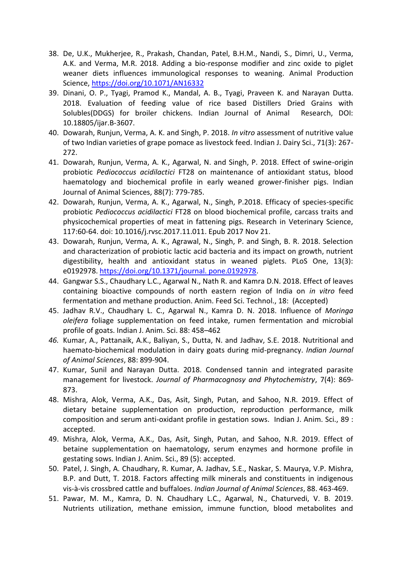- 38. De, U.K., Mukherjee, R., Prakash, Chandan, Patel, B.H.M., Nandi, S., Dimri, U., Verma, A.K. and Verma, M.R. 2018. Adding a bio-response modifier and zinc oxide to piglet weaner diets influences immunological responses to weaning. Animal Production Science, <https://doi.org/10.1071/AN16332>
- 39. Dinani, O. P., Tyagi, Pramod K., Mandal, A. B., Tyagi, Praveen K. and Narayan Dutta. 2018. Evaluation of feeding value of rice based Distillers Dried Grains with Solubles(DDGS) for broiler chickens. Indian Journal of Animal Research, DOI: 10.18805/ijar.B-3607.
- 40. Dowarah, Runjun, Verma, A. K. and Singh, P. 2018. *In vitro* assessment of nutritive value of two Indian varieties of grape pomace as livestock feed. Indian J. Dairy Sci., 71(3): 267- 272.
- 41. Dowarah, Runjun, Verma, A. K., Agarwal, N. and Singh, P. 2018. Effect of swine-origin probiotic *Pediococcus acidilactici* FT28 on maintenance of antioxidant status, blood haematology and biochemical profile in early weaned grower-finisher pigs. Indian Journal of Animal Sciences, 88(7): 779-785.
- 42. Dowarah, Runjun, Verma, A. K., Agarwal, N., Singh, P.2018. Efficacy of species-specific probiotic *Pediococcus acidilactici* FT28 on blood biochemical profile, carcass traits and physicochemical properties of meat in fattening pigs. Research in Veterinary Science, 117:60-64. doi: 10.1016/j.rvsc.2017.11.011. Epub 2017 Nov 21.
- 43. Dowarah, Runjun, Verma, A. K., Agrawal, N., Singh, P. and Singh, B. R. 2018. Selection and characterization of probiotic lactic acid bacteria and its impact on growth, nutrient digestibility, health and antioxidant status in weaned piglets. PLoS One, 13(3): e0192978[. https://doi.org/10.1371/journal. pone.0192978.](https://doi.org/10.1371/journal.%20pone.0192978)
- 44. Gangwar S.S., Chaudhary L.C., Agarwal N., Nath R. and Kamra D.N. 2018. Effect of leaves containing bioactive compounds of north eastern region of India on *in vitro* feed fermentation and methane production. Anim. Feed Sci. Technol., 18: (Accepted)
- 45. Jadhav R.V., Chaudhary L. C., Agarwal N., Kamra D. N. 2018. Influence of *Moringa oleifera* foliage supplementation on feed intake, rumen fermentation and microbial profile of goats. Indian J. Anim. Sci. 88: 458–462
- *46.* Kumar, A., Pattanaik, A.K., Baliyan, S., Dutta, N. and Jadhav, S.E. 2018. Nutritional and haemato-biochemical modulation in dairy goats during mid-pregnancy. *Indian Journal of Animal Sciences*, 88: 899-904.
- 47. Kumar, Sunil and Narayan Dutta. 2018. Condensed tannin and integrated parasite management for livestock. *Journal of Pharmacognosy and Phytochemistry*, 7(4): 869- 873.
- 48. Mishra, Alok, Verma, A.K., Das, Asit, Singh, Putan, and Sahoo, N.R. 2019. Effect of dietary betaine supplementation on production, reproduction performance, milk composition and serum anti-oxidant profile in gestation sows. Indian J. Anim. Sci., 89 : accepted.
- 49. Mishra, Alok, Verma, A.K., Das, Asit, Singh, Putan, and Sahoo, N.R. 2019. Effect of betaine supplementation on haematology, serum enzymes and hormone profile in gestating sows. Indian J. Anim. Sci., 89 (5): accepted.
- 50. Patel, J. Singh, A. Chaudhary, R. Kumar, A. Jadhav, S.E., Naskar, S. Maurya, V.P. Mishra, B.P. and Dutt, T. 2018. Factors affecting milk minerals and constituents in indigenous vis-à-vis crossbred cattle and buffaloes. *Indian Journal of Animal Sciences*, 88. 463-469.
- 51. Pawar, M. M., Kamra, D. N. Chaudhary L.C., Agarwal, N., Chaturvedi, V. B. 2019. Nutrients utilization, methane emission, immune function, blood metabolites and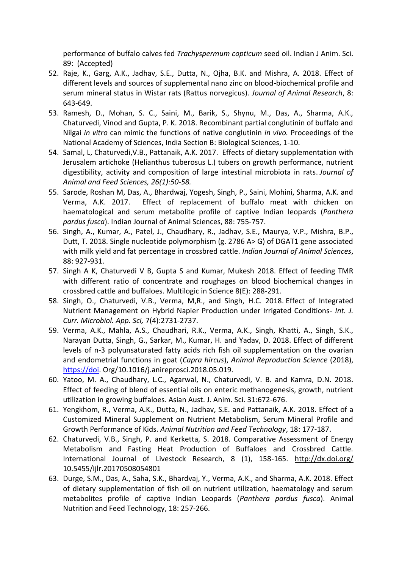performance of buffalo calves fed *Trachyspermum copticum* seed oil. Indian J Anim. Sci. 89: (Accepted)

- 52. Raje, K., Garg, A.K., Jadhav, S.E., Dutta, N., Ojha, B.K. and Mishra, A. 2018. Effect of different levels and sources of supplemental nano zinc on blood-biochemical profile and serum mineral status in Wistar rats (Rattus norvegicus). *Journal of Animal Research*, 8: 643-649.
- 53. Ramesh, D., Mohan, S. C., Saini, M., Barik, S., Shynu, M., Das, A., Sharma, A.K., Chaturvedi, Vinod and Gupta, P. K. 2018. Recombinant partial conglutinin of buffalo and Nilgai *in vitro* can mimic the functions of native conglutinin *in vivo.* Proceedings of the National Academy of Sciences, India Section B: Biological Sciences, 1-10.
- 54. Samal, L, Chaturvedi,V.B., Pattanaik, A.K. 2017. [Effects of dietary supplementation with](https://www.researchgate.net/profile/Lipismita_Samal2/publication/314489902_Effects_of_dietary_supplementation_with_Jerusalem_artichoke_Helianthus_tuberosus_L_tubers_on_growth_performance_nutrient_digestibility_as_well_as_activity_and_composition_of_large_intestinal_microbiot/links/58c81e42aca2723ab169ea1e/Effects-of-dietary-supplementation-with-Jerusalem-artichoke-Helianthus-tuberosus-L-tubers-on-growth-performance-nutrient-digestibility-as-well-as-activity-and-composition-of-large-intestinal-microbio.pdf)  [Jerusalem artichoke \(Helianthus tuberosus L.\) tubers on growth performance, nutrient](https://www.researchgate.net/profile/Lipismita_Samal2/publication/314489902_Effects_of_dietary_supplementation_with_Jerusalem_artichoke_Helianthus_tuberosus_L_tubers_on_growth_performance_nutrient_digestibility_as_well_as_activity_and_composition_of_large_intestinal_microbiot/links/58c81e42aca2723ab169ea1e/Effects-of-dietary-supplementation-with-Jerusalem-artichoke-Helianthus-tuberosus-L-tubers-on-growth-performance-nutrient-digestibility-as-well-as-activity-and-composition-of-large-intestinal-microbio.pdf)  [digestibility, activity and composition of large intestinal microbiota in rats.](https://www.researchgate.net/profile/Lipismita_Samal2/publication/314489902_Effects_of_dietary_supplementation_with_Jerusalem_artichoke_Helianthus_tuberosus_L_tubers_on_growth_performance_nutrient_digestibility_as_well_as_activity_and_composition_of_large_intestinal_microbiot/links/58c81e42aca2723ab169ea1e/Effects-of-dietary-supplementation-with-Jerusalem-artichoke-Helianthus-tuberosus-L-tubers-on-growth-performance-nutrient-digestibility-as-well-as-activity-and-composition-of-large-intestinal-microbio.pdf) *Journal of Animal and Feed Sciences, 26(1):50-58.*
- 55. Sarode, Roshan M, Das, A., Bhardwaj, Yogesh, Singh, P., Saini, Mohini, Sharma, A.K. and Verma, A.K. 2017. Effect of replacement of buffalo meat with chicken on haematological and serum metabolite profile of captive Indian leopards (*Panthera pardus fusca*). Indian Journal of Animal Sciences, 88: 755-757.
- 56. Singh, A., Kumar, A., Patel, J., Chaudhary, R., Jadhav, S.E., Maurya, V.P., Mishra, B.P., Dutt, T. 2018. Single nucleotide polymorphism (g. 2786 A> G) of DGAT1 gene associated with milk yield and fat percentage in crossbred cattle. *Indian Journal of Animal Sciences*, 88: 927-931.
- 57. Singh A K, Chaturvedi V B, Gupta S and Kumar, Mukesh 2018. Effect of feeding TMR with different ratio of concentrate and roughages on blood biochemical changes in crossbred cattle and buffaloes. Multilogic in Science 8(E): 288-291.
- 58. Singh, O., Chaturvedi, V.B., Verma, M,R., and Singh, H.C. 2018. [Effect of Integrated](https://scholar.google.co.in/scholar?oi=bibs&cluster=12540879162283862452&btnI=1&hl=en)  [Nutrient Management on Hybrid Napier Production under Irrigated Conditions](https://scholar.google.co.in/scholar?oi=bibs&cluster=12540879162283862452&btnI=1&hl=en)*- Int. J. Curr. Microbiol. App. Sci,* 7(4):2731-2737.
- 59. Verma, A.K., Mahla, A.S., Chaudhari, R.K., Verma, A.K., Singh, Khatti, A., Singh, S.K., Narayan Dutta, Singh, G., Sarkar, M., Kumar, H. and Yadav, D. 2018. Effect of different levels of n-3 polyunsaturated fatty acids rich fish oil supplementation on the ovarian and endometrial functions in goat (*Capra hircus*), *Animal Reproduction Science* (2018), [https://doi.](https://doi/) Org/10.1016/j.anireprosci.2018.05.019.
- 60. Yatoo, M. A., Chaudhary, L.C., Agarwal, N., Chaturvedi, V. B. and Kamra, D.N. 2018. Effect of feeding of blend of essential oils on enteric methanogenesis, growth, nutrient utilization in growing buffaloes. Asian Aust. J. Anim. Sci. 31:672-676.
- 61. Yengkhom, R., Verma, A.K., Dutta, N., Jadhav, S.E. and Pattanaik, A.K. 2018. Effect of a Customized Mineral Supplement on Nutrient Metabolism, Serum Mineral Profile and Growth Performance of Kids. *Animal Nutrition and Feed Technology*, 18: 177-187.
- 62. Chaturvedi, V.B., Singh, P. and Kerketta, S. 2018. Comparative Assessment of Energy Metabolism and Fasting Heat Production of Buffaloes and Crossbred Cattle. International Journal of Livestock Research, 8 (1), 158-165. <http://dx.doi.org/> 10.5455/ijlr.20170508054801
- 63. Durge, S.M., Das, A., Saha, S.K., Bhardvaj, Y., Verma, A.K., and Sharma, A.K. 2018. Effect of dietary supplementation of fish oil on nutrient utilization, haematology and serum metabolites profile of captive Indian Leopards (*Panthera pardus fusca*). Animal Nutrition and Feed Technology, 18: 257-266.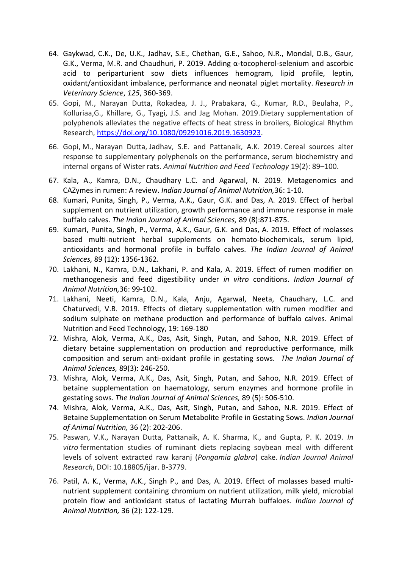- 64. Gaykwad, C.K., De, U.K., Jadhav, S.E., Chethan, G.E., Sahoo, N.R., Mondal, D.B., Gaur, G.K., Verma, M.R. and Chaudhuri, P. 2019. Adding α-tocopherol-selenium and ascorbic acid to periparturient sow diets influences hemogram, lipid profile, leptin, oxidant/antioxidant imbalance, performance and neonatal piglet mortality. *Research in Veterinary Science*, *125*, 360-369.
- 65. Gopi, M., Narayan Dutta, Rokadea, J. J., Prabakara, G., Kumar, R.D., Beulaha, P., Kolluriaa,G., Khillare, G., Tyagi, J.S. and Jag Mohan. 2019.Dietary supplementation of polyphenols alleviates the negative effects of heat stress in broilers, Biological Rhythm Research, [https://doi.org/10.1080/09291016.2019.1630923.](https://doi.org/10.1080/09291016.2019.1630923)
- 66. Gopi, M., Narayan Dutta, Jadhav, S.E. and Pattanaik, A.K. 2019. Cereal sources alter response to supplementary polyphenols on the performance, serum biochemistry and internal organs of Wister rats. *Animal Nutrition and Feed Technology* 19(2): 89–100.
- 67. Kala, A., Kamra, D.N., Chaudhary L.C. and Agarwal, N. 2019. Metagenomics and CAZymes in rumen: A review. *Indian Journal of Animal Nutrition,*36: 1-10.
- 68. Kumari, Punita, Singh, P., Verma, A.K., Gaur, G.K. and Das, A. 2019. Effect of herbal supplement on nutrient utilization, growth performance and immune response in male buffalo calves. *The Indian Journal of Animal Sciences,* 89 (8):871-875.
- 69. Kumari, Punita, Singh, P., Verma, A.K., Gaur, G.K. and Das, A. 2019. Effect of molasses based multi-nutrient herbal supplements on hemato-biochemicals, serum lipid, antioxidants and hormonal profile in buffalo calves. *The Indian Journal of Animal Sciences,* 89 (12): 1356-1362.
- 70. Lakhani, N., Kamra, D.N., Lakhani, P. and Kala, A. 2019. Effect of rumen modifier on methanogenesis and feed digestibility under *in vitro* conditions. *Indian Journal of Animal Nutrition,*36: 99-102.
- 71. Lakhani, Neeti, Kamra, D.N., Kala, Anju, Agarwal, Neeta, Chaudhary, L.C. and Chaturvedi, V.B. 2019. Effects of dietary supplementation with rumen modifier and sodium sulphate on methane production and performance of buffalo calves. Animal Nutrition and Feed Technology, 19: 169-180
- 72. Mishra, Alok, Verma, A.K., Das, Asit, Singh, Putan, and Sahoo, N.R. 2019. Effect of dietary betaine supplementation on production and reproductive performance, milk composition and serum anti-oxidant profile in gestating sows. *The Indian Journal of Animal Sciences,* 89(3): 246-250.
- 73. Mishra, Alok, Verma, A.K., Das, Asit, Singh, Putan, and Sahoo, N.R. 2019. Effect of betaine supplementation on haematology, serum enzymes and hormone profile in gestating sows. *The Indian Journal of Animal Sciences,* 89 (5): 506-510.
- 74. Mishra, Alok, Verma, A.K., Das, Asit, Singh, Putan, and Sahoo, N.R. 2019. Effect of Betaine Supplementation on Serum Metabolite Profile in Gestating Sows. *Indian Journal of Animal Nutrition,* 36 (2): 202-206.
- 75. Paswan, V.K., Narayan Dutta, Pattanaik, A. K. Sharma, K., and Gupta, P. K. 2019. *In vitro* fermentation studies of ruminant diets replacing soybean meal with different levels of solvent extracted raw karanj (*Pongamia glabra*) cake. *Indian Journal Animal Research*, DOI: 10.18805/ijar. B-3779.
- 76. Patil, A. K., Verma, A.K., Singh P., and Das, A. 2019. Effect of molasses based multinutrient supplement containing chromium on nutrient utilization, milk yield, microbial protein flow and antioxidant status of lactating Murrah buffaloes. *Indian Journal of Animal Nutrition,* 36 (2): 122-129.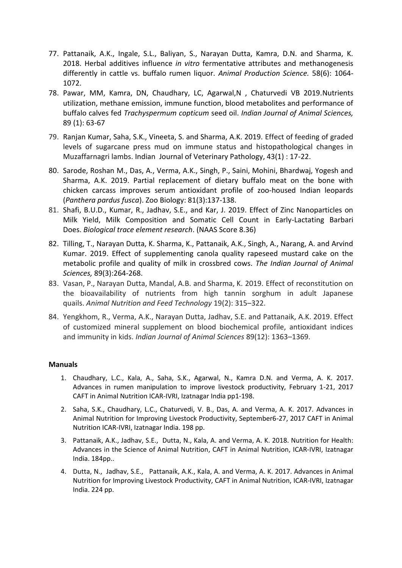- 77. Pattanaik, A.K., Ingale, S.L., Baliyan, S., Narayan Dutta, Kamra, D.N. and Sharma, K. 2018. Herbal additives influence *in vitro* fermentative attributes and methanogenesis differently in cattle vs. buffalo rumen liquor. *Animal Production Science.* 58(6): 1064- 1072.
- 78. Pawar, MM, Kamra, DN, Chaudhary, LC, Agarwal,N , Chaturvedi VB 2019[.Nutrients](https://www.researchgate.net/profile/Mahesh_Pawar5/publication/330553995_Nutrients_utilization_methane_emission_immune_function_blood_metabolites_and_performance_of_buffalo_calves_fed_Trachyspermum_copticum_seed_oil/links/5c4e7dd4458515a4c7458216/Nutrients-utilization-methane-emission-immune-function-blood-metabolites-and-performance-of-buffalo-calves-fed-Trachyspermum-copticum-seed-oil.pdf)  [utilization, methane emission, immune function, blood metabolites and performance of](https://www.researchgate.net/profile/Mahesh_Pawar5/publication/330553995_Nutrients_utilization_methane_emission_immune_function_blood_metabolites_and_performance_of_buffalo_calves_fed_Trachyspermum_copticum_seed_oil/links/5c4e7dd4458515a4c7458216/Nutrients-utilization-methane-emission-immune-function-blood-metabolites-and-performance-of-buffalo-calves-fed-Trachyspermum-copticum-seed-oil.pdf)  buffalo calves fed *[Trachyspermum copticum](https://www.researchgate.net/profile/Mahesh_Pawar5/publication/330553995_Nutrients_utilization_methane_emission_immune_function_blood_metabolites_and_performance_of_buffalo_calves_fed_Trachyspermum_copticum_seed_oil/links/5c4e7dd4458515a4c7458216/Nutrients-utilization-methane-emission-immune-function-blood-metabolites-and-performance-of-buffalo-calves-fed-Trachyspermum-copticum-seed-oil.pdf)* seed oil. *Indian Journal of Animal Sciences,* 89 (1): 63-67
- 79. Ranjan Kumar, Saha, S.K., Vineeta, S. and Sharma, A.K. 2019. Effect of feeding of graded levels of sugarcane press mud on immune status and histopathological changes in Muzaffarnagri lambs. Indian Journal of Veterinary Pathology, 43(1) : 17-22.
- 80. Sarode, Roshan M., Das, A., Verma, A.K., Singh, P., Saini, Mohini, Bhardwaj, Yogesh and Sharma, A.K. 2019. [Partial replacement of dietary buffalo meat on the bone with](https://onlinelibrary.wiley.com/doi/10.1002/zoo.21485)  [chicken carcass improves serum antioxidant profile of zoo‐housed Indian leopards](https://onlinelibrary.wiley.com/doi/10.1002/zoo.21485)  (*[Panthera pardus fusca](https://onlinelibrary.wiley.com/doi/10.1002/zoo.21485)*). Zoo Biology: 81(3):137-138.
- 81. Shafi, B.U.D., Kumar, R., Jadhav, S.E., and Kar, J. 2019. Effect of Zinc Nanoparticles on Milk Yield, Milk Composition and Somatic Cell Count in Early-Lactating Barbari Does. *Biological trace element research*. (NAAS Score 8.36)
- 82. Tilling, T., Narayan Dutta, K. Sharma, K., Pattanaik, A.K., Singh, A., Narang, A. and Arvind Kumar. 2019. Effect of supplementing canola quality rapeseed mustard cake on the metabolic profile and quality of milk in crossbred cows. *The Indian Journal of Animal Sciences,* 89(3):264-268.
- 83. Vasan, P., Narayan Dutta, Mandal, A.B. and Sharma, K. 2019. Effect of reconstitution on the bioavailability of nutrients from high tannin sorghum in adult Japanese quails. *Animal Nutrition and Feed Technology* 19(2): 315–322.
- 84. Yengkhom, R., Verma, A.K., Narayan Dutta, Jadhav, S.E. and Pattanaik, A.K. 2019. Effect of customized mineral supplement on blood biochemical profile, antioxidant indices and immunity in kids. *Indian Journal of Animal Sciences* 89(12): 1363–1369.

### **Manuals**

- 1. Chaudhary, L.C., Kala, A., Saha, S.K., Agarwal, N., Kamra D.N. and Verma, A. K. 2017. Advances in rumen manipulation to improve livestock productivity, February 1-21, 2017 CAFT in Animal Nutrition ICAR-IVRI, Izatnagar India pp1-198.
- 2. Saha, S.K., Chaudhary, L.C., Chaturvedi, V. B., Das, A. and Verma, A. K. 2017. Advances in Animal Nutrition for Improving Livestock Productivity, September6-27, 2017 CAFT in Animal Nutrition ICAR-IVRI, Izatnagar India. 198 pp.
- 3. Pattanaik, A.K., Jadhav, S.E., Dutta, N., Kala, A. and Verma, A. K. 2018. Nutrition for Health: Advances in the Science of Animal Nutrition, CAFT in Animal Nutrition, ICAR-IVRI, Izatnagar India. 184pp..
- 4. Dutta, N., Jadhav, S.E., Pattanaik, A.K., Kala, A. and Verma, A. K. 2017. Advances in Animal Nutrition for Improving Livestock Productivity, CAFT in Animal Nutrition, ICAR-IVRI, Izatnagar India. 224 pp.